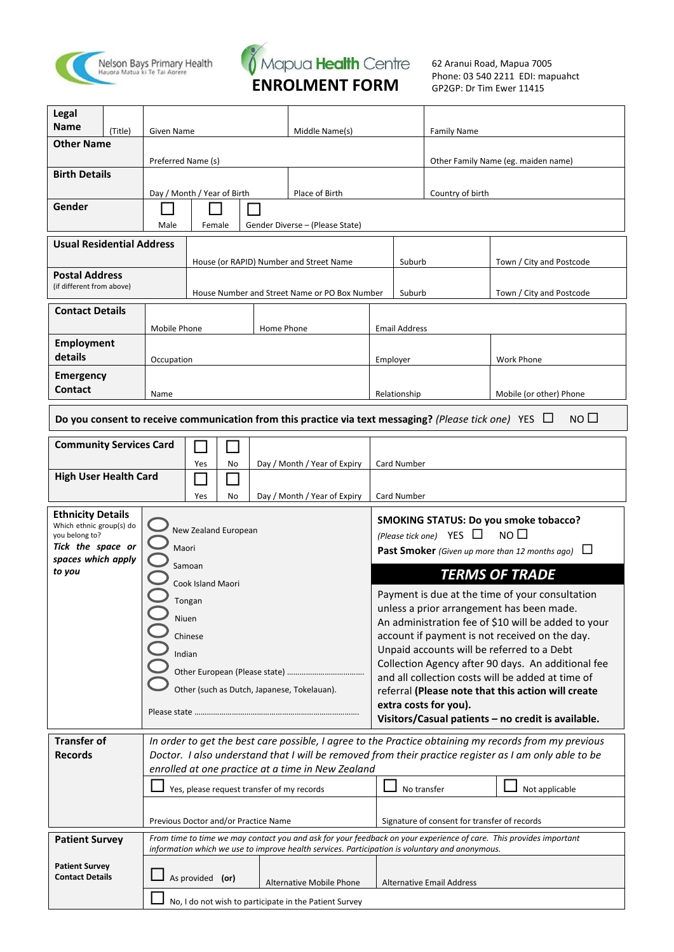



62 Aranui Road, Mapua 7005 Phone: 03 540 2211 EDI: mapuahct GP2GP: Dr Tim Ewer 11415

| Legal<br><b>Name</b>                            | (Title)                  | Given Name                  |                             | Middle Name(s) |                                            | <b>Family Name</b>                                                                                          |                                     |                                              |                                                                                                                                                                                                                |  |
|-------------------------------------------------|--------------------------|-----------------------------|-----------------------------|----------------|--------------------------------------------|-------------------------------------------------------------------------------------------------------------|-------------------------------------|----------------------------------------------|----------------------------------------------------------------------------------------------------------------------------------------------------------------------------------------------------------------|--|
|                                                 | <b>Other Name</b>        |                             |                             |                |                                            |                                                                                                             |                                     |                                              |                                                                                                                                                                                                                |  |
|                                                 | Preferred Name (s)       |                             |                             |                |                                            |                                                                                                             | Other Family Name (eg. maiden name) |                                              |                                                                                                                                                                                                                |  |
| <b>Birth Details</b>                            |                          |                             |                             |                |                                            |                                                                                                             |                                     |                                              |                                                                                                                                                                                                                |  |
| Gender                                          |                          | Day / Month / Year of Birth |                             |                |                                            | Place of Birth                                                                                              |                                     | Country of birth                             |                                                                                                                                                                                                                |  |
|                                                 |                          | Male                        | Female                      |                |                                            |                                                                                                             |                                     |                                              |                                                                                                                                                                                                                |  |
|                                                 |                          |                             |                             |                | Gender Diverse - (Please State)            |                                                                                                             |                                     |                                              |                                                                                                                                                                                                                |  |
| <b>Usual Residential Address</b>                |                          |                             |                             |                |                                            | House (or RAPID) Number and Street Name                                                                     |                                     |                                              | Town / City and Postcode                                                                                                                                                                                       |  |
| <b>Postal Address</b>                           |                          |                             |                             |                |                                            |                                                                                                             | Suburb                              |                                              |                                                                                                                                                                                                                |  |
| (if different from above)                       |                          |                             |                             |                |                                            | House Number and Street Name or PO Box Number                                                               | Suburb                              |                                              | Town / City and Postcode                                                                                                                                                                                       |  |
| <b>Contact Details</b>                          |                          |                             |                             |                |                                            |                                                                                                             |                                     |                                              |                                                                                                                                                                                                                |  |
|                                                 |                          | Mobile Phone                |                             |                | Home Phone                                 |                                                                                                             | <b>Email Address</b>                |                                              |                                                                                                                                                                                                                |  |
| <b>Employment</b>                               |                          |                             |                             |                |                                            |                                                                                                             |                                     |                                              |                                                                                                                                                                                                                |  |
| details                                         |                          | Occupation                  |                             |                |                                            |                                                                                                             | Employer                            |                                              | Work Phone                                                                                                                                                                                                     |  |
| <b>Emergency</b><br>Contact                     |                          |                             |                             |                |                                            |                                                                                                             |                                     |                                              |                                                                                                                                                                                                                |  |
|                                                 |                          | Name                        |                             |                |                                            |                                                                                                             | Relationship                        |                                              | Mobile (or other) Phone                                                                                                                                                                                        |  |
|                                                 |                          |                             |                             |                |                                            | Do you consent to receive communication from this practice via text messaging? (Please tick one) YES $\Box$ |                                     |                                              | NO <sub>1</sub>                                                                                                                                                                                                |  |
| <b>Community Services Card</b>                  |                          |                             |                             |                |                                            |                                                                                                             |                                     |                                              |                                                                                                                                                                                                                |  |
|                                                 |                          |                             | Yes                         | No             |                                            | Day / Month / Year of Expiry                                                                                | Card Number                         |                                              |                                                                                                                                                                                                                |  |
| <b>High User Health Card</b>                    |                          |                             |                             |                |                                            |                                                                                                             |                                     |                                              |                                                                                                                                                                                                                |  |
|                                                 |                          |                             | Yes                         | No             |                                            | Day / Month / Year of Expiry                                                                                | Card Number                         |                                              |                                                                                                                                                                                                                |  |
|                                                 | <b>Ethnicity Details</b> |                             |                             |                |                                            |                                                                                                             |                                     |                                              |                                                                                                                                                                                                                |  |
| Which ethnic group(s) do                        |                          |                             |                             |                |                                            |                                                                                                             |                                     |                                              | <b>SMOKING STATUS: Do you smoke tobacco?</b>                                                                                                                                                                   |  |
| you belong to?                                  |                          |                             | New Zealand European        |                |                                            |                                                                                                             |                                     | (Please tick one) YES $\Box$                 | NO <sub>1</sub>                                                                                                                                                                                                |  |
| Tick the space or<br>spaces which apply         |                          | Maori                       |                             |                |                                            |                                                                                                             |                                     |                                              | <b>Past Smoker</b> (Given up more than 12 months ago) $\Box$                                                                                                                                                   |  |
| to you                                          |                          |                             | Samoan<br>Cook Island Maori |                |                                            |                                                                                                             |                                     |                                              | <b>TERMS OF TRADE</b>                                                                                                                                                                                          |  |
|                                                 |                          |                             | Tongan                      |                |                                            |                                                                                                             |                                     |                                              | Payment is due at the time of your consultation                                                                                                                                                                |  |
|                                                 |                          | Niuen                       |                             |                |                                            |                                                                                                             |                                     |                                              | unless a prior arrangement has been made.                                                                                                                                                                      |  |
|                                                 |                          |                             | Chinese                     |                |                                            |                                                                                                             |                                     |                                              | An administration fee of \$10 will be added to your<br>account if payment is not received on the day.                                                                                                          |  |
|                                                 |                          | Indian                      |                             |                |                                            |                                                                                                             |                                     |                                              | Unpaid accounts will be referred to a Debt                                                                                                                                                                     |  |
|                                                 |                          |                             |                             |                |                                            |                                                                                                             |                                     |                                              | Collection Agency after 90 days. An additional fee                                                                                                                                                             |  |
|                                                 |                          |                             |                             |                |                                            | Other (such as Dutch, Japanese, Tokelauan).                                                                 |                                     |                                              | and all collection costs will be added at time of<br>referral (Please note that this action will create                                                                                                        |  |
|                                                 |                          | Please state                |                             |                |                                            |                                                                                                             |                                     | extra costs for you).                        | Visitors/Casual patients - no credit is available.                                                                                                                                                             |  |
| <b>Transfer of</b>                              |                          |                             |                             |                |                                            |                                                                                                             |                                     |                                              |                                                                                                                                                                                                                |  |
| <b>Records</b>                                  |                          |                             |                             |                |                                            |                                                                                                             |                                     |                                              | In order to get the best care possible, I agree to the Practice obtaining my records from my previous<br>Doctor. I also understand that I will be removed from their practice register as I am only able to be |  |
|                                                 |                          |                             |                             |                |                                            | enrolled at one practice at a time in New Zealand                                                           |                                     |                                              |                                                                                                                                                                                                                |  |
|                                                 |                          |                             |                             |                | Yes, please request transfer of my records |                                                                                                             |                                     | No transfer                                  | Not applicable                                                                                                                                                                                                 |  |
|                                                 |                          |                             |                             |                |                                            |                                                                                                             |                                     |                                              |                                                                                                                                                                                                                |  |
|                                                 |                          |                             |                             |                | Previous Doctor and/or Practice Name       |                                                                                                             |                                     | Signature of consent for transfer of records |                                                                                                                                                                                                                |  |
| <b>Patient Survey</b>                           |                          |                             |                             |                |                                            | information which we use to improve health services. Participation is voluntary and anonymous.              |                                     |                                              | From time to time we may contact you and ask for your feedback on your experience of care. This provides important                                                                                             |  |
| <b>Patient Survey</b><br><b>Contact Details</b> |                          |                             | As provided (or)            |                |                                            | <b>Alternative Mobile Phone</b>                                                                             |                                     | <b>Alternative Email Address</b>             |                                                                                                                                                                                                                |  |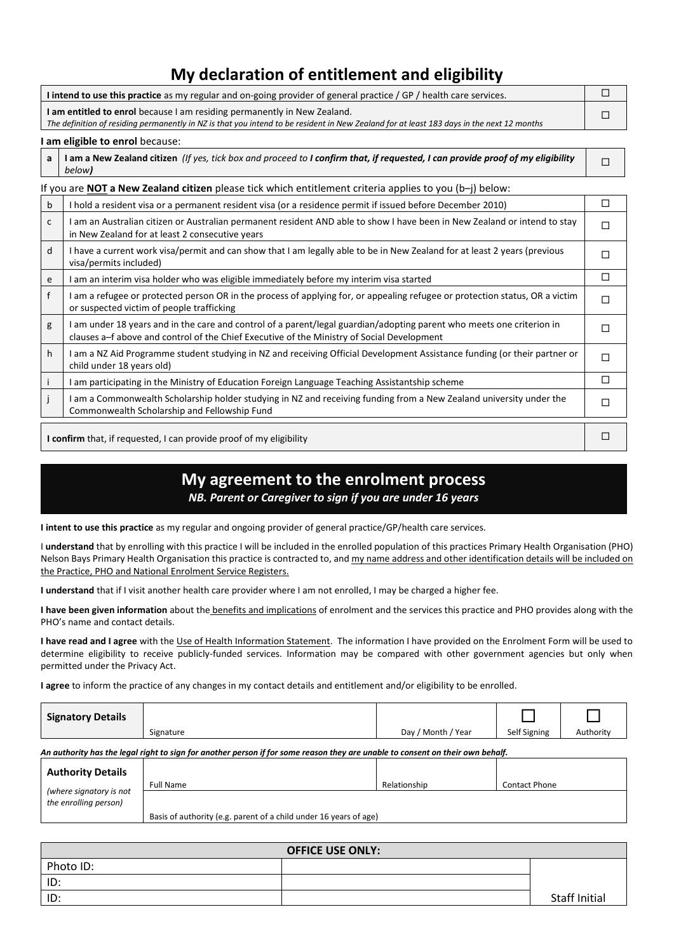## **My declaration of entitlement and eligibility**

| I intend to use this practice as my regular and on-going provider of general practice / GP / health care services.                                                                                                    |  |
|-----------------------------------------------------------------------------------------------------------------------------------------------------------------------------------------------------------------------|--|
| I am entitled to enrol because I am residing permanently in New Zealand.<br>The definition of residing permanently in NZ is that you intend to be resident in New Zealand for at least 183 days in the next 12 months |  |
|                                                                                                                                                                                                                       |  |

 $\Box$ 

#### **I am eligible to enrol** because:

| a   I am a New Zealand citizen (If yes, tick box and proceed to I confirm that, if requested, I can provide proof of my eligibility |  |
|-------------------------------------------------------------------------------------------------------------------------------------|--|
| below)                                                                                                                              |  |

|                                                                            | f you are <b>NOT a New Zealand citizen</b> please tick which entitlement criteria applies to you $(b-i)$ below:                                                                                                     |   |  |  |  |  |  |
|----------------------------------------------------------------------------|---------------------------------------------------------------------------------------------------------------------------------------------------------------------------------------------------------------------|---|--|--|--|--|--|
| $\mathsf b$                                                                | I hold a resident visa or a permanent resident visa (or a residence permit if issued before December 2010)                                                                                                          | □ |  |  |  |  |  |
| $\mathsf{C}$                                                               | I am an Australian citizen or Australian permanent resident AND able to show I have been in New Zealand or intend to stay<br>in New Zealand for at least 2 consecutive years                                        | П |  |  |  |  |  |
| d                                                                          | I have a current work visa/permit and can show that I am legally able to be in New Zealand for at least 2 years (previous<br>visa/permits included)                                                                 | П |  |  |  |  |  |
| e                                                                          | l am an interim visa holder who was eligible immediately before my interim visa started                                                                                                                             | П |  |  |  |  |  |
| $\mathsf{f}$                                                               | I am a refugee or protected person OR in the process of applying for, or appealing refugee or protection status, OR a victim<br>or suspected victim of people trafficking                                           | П |  |  |  |  |  |
| g                                                                          | I am under 18 years and in the care and control of a parent/legal guardian/adopting parent who meets one criterion in<br>clauses a-f above and control of the Chief Executive of the Ministry of Social Development | П |  |  |  |  |  |
| h                                                                          | I am a NZ Aid Programme student studying in NZ and receiving Official Development Assistance funding (or their partner or<br>child under 18 years old)                                                              | П |  |  |  |  |  |
|                                                                            | I am participating in the Ministry of Education Foreign Language Teaching Assistantship scheme                                                                                                                      | П |  |  |  |  |  |
| j                                                                          | I am a Commonwealth Scholarship holder studying in NZ and receiving funding from a New Zealand university under the<br>Commonwealth Scholarship and Fellowship Fund                                                 | П |  |  |  |  |  |
| <b>I confirm</b> that, if requested, I can provide proof of my eligibility |                                                                                                                                                                                                                     |   |  |  |  |  |  |

### **My agreement to the enrolment process**

*NB. Parent or Caregiver to sign if you are under 16 years*

**I intent to use this practice** as my regular and ongoing provider of general practice/GP/health care services.

I **understand** that by enrolling with this practice I will be included in the enrolled population of this practices Primary Health Organisation (PHO) Nelson Bays Primary Health Organisation this practice is contracted to, and my name address and other identification details will be included on the Practice, PHO and National Enrolment Service Registers.

**I understand** that if I visit another health care provider where I am not enrolled, I may be charged a higher fee.

I have been given information about the **benefits and implications** of enrolment and the services this practice and PHO provides along with the PHO's name and contact details.

**I have read and I agree** with the Use of Health Information Statement. The information I have provided on the Enrolment Form will be used to determine eligibility to receive publicly-funded services. Information may be compared with other government agencies but only when permitted under the Privacy Act.

**I agree** to inform the practice of any changes in my contact details and entitlement and/or eligibility to be enrolled.

| <b>Signatory Details</b>                                                                                                       |           |                    |                      |           |  |  |  |  |
|--------------------------------------------------------------------------------------------------------------------------------|-----------|--------------------|----------------------|-----------|--|--|--|--|
|                                                                                                                                | Signature | Day / Month / Year | Self Signing         | Authority |  |  |  |  |
| An authority has the legal right to sign for another person if for some reason they are unable to consent on their own behalf. |           |                    |                      |           |  |  |  |  |
| <b>Authority Details</b>                                                                                                       |           |                    |                      |           |  |  |  |  |
| <i>lwhere</i> signatory is not                                                                                                 | Full Name | Relationship       | <b>Contact Phone</b> |           |  |  |  |  |

|   | ---------------                                                        |
|---|------------------------------------------------------------------------|
|   |                                                                        |
|   |                                                                        |
|   |                                                                        |
|   |                                                                        |
|   |                                                                        |
|   |                                                                        |
| . | .<br>Basis of authority (e.g. parent of a child under 16 years of age) |

| <b>OFFICE USE ONLY:</b> |  |               |  |  |  |  |
|-------------------------|--|---------------|--|--|--|--|
| Photo ID:               |  |               |  |  |  |  |
| ID:                     |  |               |  |  |  |  |
| ID:                     |  | Staff Initial |  |  |  |  |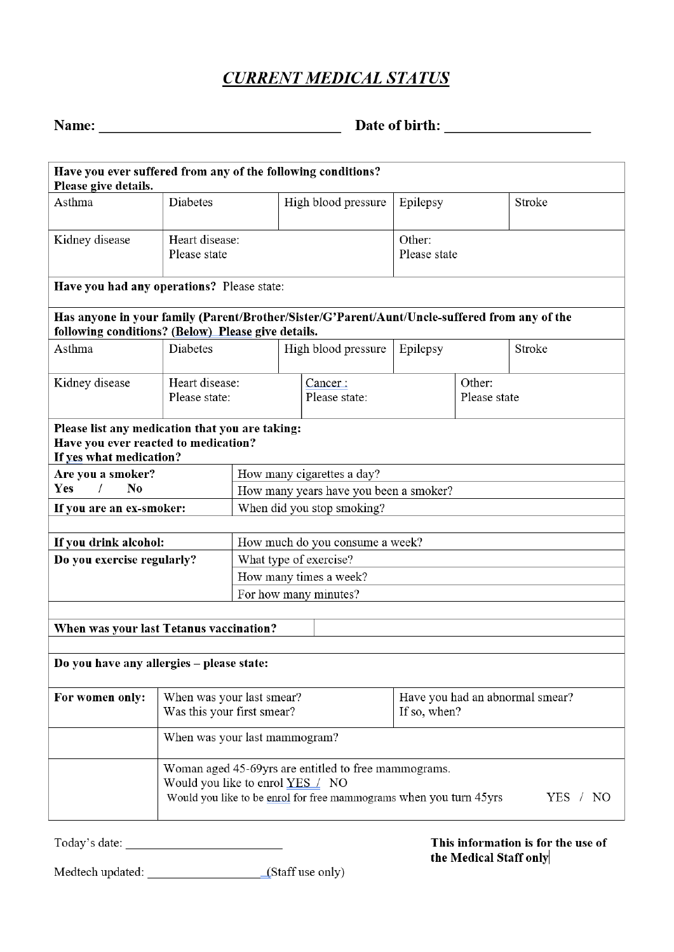# **CURRENT MEDICAL STATUS**

| п<br>П |  |
|--------|--|
| ш<br>ш |  |

| Have you ever suffered from any of the following conditions?<br>Please give details.                                                                |                                                                                |                                        |  |                                                      |                        |                                 |        |  |
|-----------------------------------------------------------------------------------------------------------------------------------------------------|--------------------------------------------------------------------------------|----------------------------------------|--|------------------------------------------------------|------------------------|---------------------------------|--------|--|
| Asthma                                                                                                                                              | Diabetes                                                                       |                                        |  | High blood pressure                                  | Epilepsy               |                                 | Stroke |  |
| Heart disease:<br>Kidney disease<br>Please state                                                                                                    |                                                                                |                                        |  |                                                      | Other:<br>Please state |                                 |        |  |
|                                                                                                                                                     |                                                                                |                                        |  |                                                      |                        |                                 |        |  |
| Have you had any operations? Please state:                                                                                                          |                                                                                |                                        |  |                                                      |                        |                                 |        |  |
| Has anyone in your family (Parent/Brother/Sister/G'Parent/Aunt/Uncle-suffered from any of the<br>following conditions? (Below) Please give details. |                                                                                |                                        |  |                                                      |                        |                                 |        |  |
| Asthma                                                                                                                                              | <b>Diabetes</b>                                                                |                                        |  | High blood pressure                                  | Epilepsy               |                                 | Stroke |  |
| Kidney disease                                                                                                                                      | Heart disease:<br>Please state:                                                |                                        |  | Cancer:<br>Please state:                             | Other:<br>Please state |                                 |        |  |
| Please list any medication that you are taking:<br>Have you ever reacted to medication?<br>If yes what medication?                                  |                                                                                |                                        |  |                                                      |                        |                                 |        |  |
| Are you a smoker?                                                                                                                                   |                                                                                |                                        |  | How many cigarettes a day?                           |                        |                                 |        |  |
| Yes<br>$\sqrt{2}$<br>No                                                                                                                             |                                                                                | How many years have you been a smoker? |  |                                                      |                        |                                 |        |  |
| If you are an ex-smoker:                                                                                                                            |                                                                                | When did you stop smoking?             |  |                                                      |                        |                                 |        |  |
| If you drink alcohol:                                                                                                                               |                                                                                |                                        |  | How much do you consume a week?                      |                        |                                 |        |  |
| Do you exercise regularly?                                                                                                                          |                                                                                | What type of exercise?                 |  |                                                      |                        |                                 |        |  |
|                                                                                                                                                     |                                                                                | How many times a week?                 |  |                                                      |                        |                                 |        |  |
|                                                                                                                                                     |                                                                                | For how many minutes?                  |  |                                                      |                        |                                 |        |  |
|                                                                                                                                                     |                                                                                |                                        |  |                                                      |                        |                                 |        |  |
| When was your last Tetanus vaccination?                                                                                                             |                                                                                |                                        |  |                                                      |                        |                                 |        |  |
|                                                                                                                                                     |                                                                                |                                        |  |                                                      |                        |                                 |        |  |
| Do you have any allergies - please state:                                                                                                           |                                                                                |                                        |  |                                                      |                        |                                 |        |  |
| For women only:                                                                                                                                     | When was your last smear?                                                      |                                        |  |                                                      |                        | Have you had an abnormal smear? |        |  |
|                                                                                                                                                     | Was this your first smear?                                                     |                                        |  |                                                      | If so, when?           |                                 |        |  |
|                                                                                                                                                     | When was your last mammogram?                                                  |                                        |  |                                                      |                        |                                 |        |  |
|                                                                                                                                                     |                                                                                |                                        |  | Woman aged 45-69yrs are entitled to free mammograms. |                        |                                 |        |  |
|                                                                                                                                                     | Would you like to enrol YES / NO                                               |                                        |  |                                                      |                        |                                 |        |  |
|                                                                                                                                                     | Would you like to be enrol for free mammograms when you turn 45yrs<br>YES / NO |                                        |  |                                                      |                        |                                 |        |  |

#### This information is for the use of the Medical Staff only